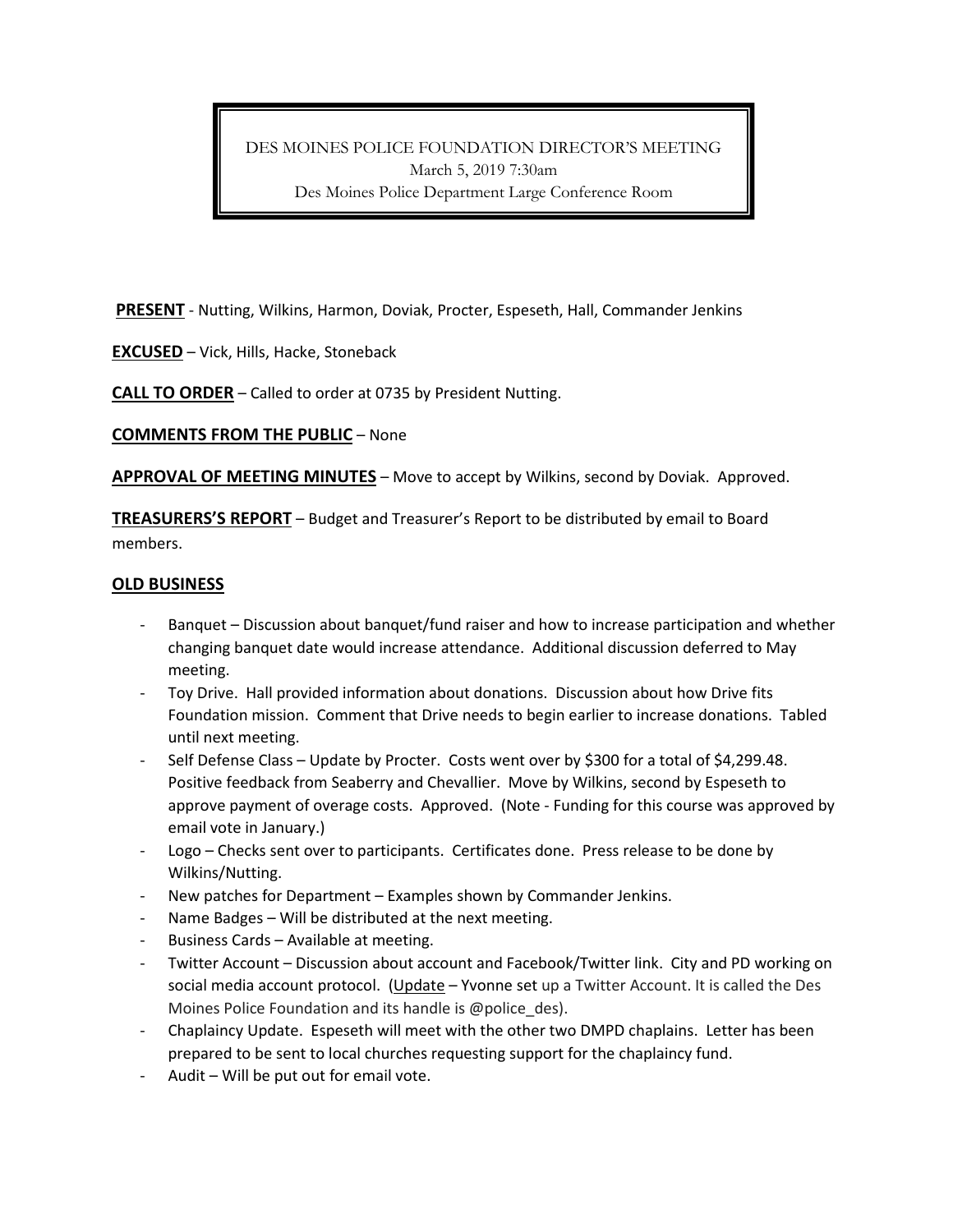DES MOINES POLICE FOUNDATION DIRECTOR'S MEETING March 5, 2019 7:30am Des Moines Police Department Large Conference Room

**PRESENT** - Nutting, Wilkins, Harmon, Doviak, Procter, Espeseth, Hall, Commander Jenkins

**EXCUSED** – Vick, Hills, Hacke, Stoneback

**CALL TO ORDER** – Called to order at 0735 by President Nutting.

**COMMENTS FROM THE PUBLIC** – None

**APPROVAL OF MEETING MINUTES** – Move to accept by Wilkins, second by Doviak. Approved.

**TREASURERS'S REPORT** – Budget and Treasurer's Report to be distributed by email to Board members.

## **OLD BUSINESS**

- Banquet Discussion about banquet/fund raiser and how to increase participation and whether changing banquet date would increase attendance. Additional discussion deferred to May meeting.
- Toy Drive. Hall provided information about donations. Discussion about how Drive fits Foundation mission. Comment that Drive needs to begin earlier to increase donations. Tabled until next meeting.
- Self Defense Class Update by Procter. Costs went over by \$300 for a total of \$4,299.48. Positive feedback from Seaberry and Chevallier. Move by Wilkins, second by Espeseth to approve payment of overage costs. Approved. (Note - Funding for this course was approved by email vote in January.)
- Logo Checks sent over to participants. Certificates done. Press release to be done by Wilkins/Nutting.
- New patches for Department Examples shown by Commander Jenkins.
- Name Badges Will be distributed at the next meeting.
- Business Cards Available at meeting.
- Twitter Account Discussion about account and Facebook/Twitter link. City and PD working on social media account protocol. (Update – Yvonne set up a Twitter Account. It is called the Des Moines Police Foundation and its handle is @police\_des).
- Chaplaincy Update. Espeseth will meet with the other two DMPD chaplains. Letter has been prepared to be sent to local churches requesting support for the chaplaincy fund.
- Audit Will be put out for email vote.